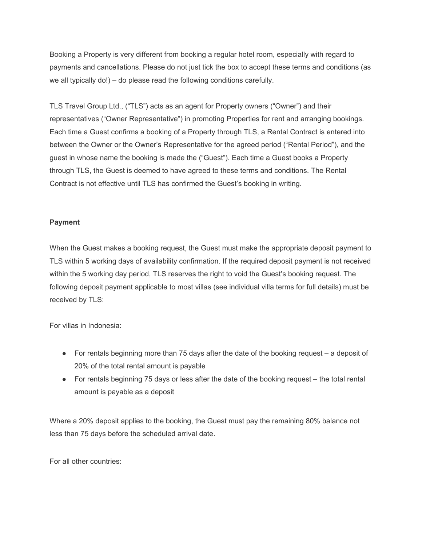Booking a Property is very different from booking a regular hotel room, especially with regard to payments and cancellations. Please do not just tick the box to accept these terms and conditions (as we all typically do!) – do please read the following conditions carefully.

TLS Travel Group Ltd., ("TLS") acts as an agent for Property owners ("Owner") and their representatives ("Owner Representative") in promoting Properties for rent and arranging bookings. Each time a Guest confirms a booking of a Property through TLS, a Rental Contract is entered into between the Owner or the Owner's Representative for the agreed period ("Rental Period"), and the guest in whose name the booking is made the ("Guest"). Each time a Guest books a Property through TLS, the Guest is deemed to have agreed to these terms and conditions. The Rental Contract is not effective until TLS has confirmed the Guest's booking in writing.

## **Payment**

When the Guest makes a booking request, the Guest must make the appropriate deposit payment to TLS within 5 working days of availability confirmation. If the required deposit payment is not received within the 5 working day period, TLS reserves the right to void the Guest's booking request. The following deposit payment applicable to most villas (see individual villa terms for full details) must be received by TLS:

For villas in Indonesia:

- $\bullet$  For rentals beginning more than 75 days after the date of the booking request a deposit of 20% of the total rental amount is payable
- For rentals beginning 75 days or less after the date of the booking request the total rental amount is payable as a deposit

Where a 20% deposit applies to the booking, the Guest must pay the remaining 80% balance not less than 75 days before the scheduled arrival date.

For all other countries: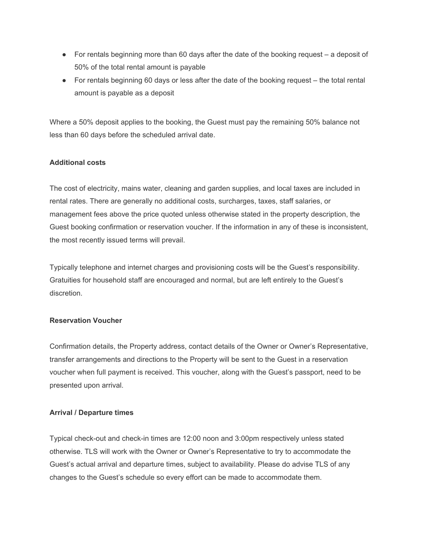- $\bullet$  For rentals beginning more than 60 days after the date of the booking request a deposit of 50% of the total rental amount is payable
- For rentals beginning 60 days or less after the date of the booking request the total rental amount is payable as a deposit

Where a 50% deposit applies to the booking, the Guest must pay the remaining 50% balance not less than 60 days before the scheduled arrival date.

# **Additional costs**

The cost of electricity, mains water, cleaning and garden supplies, and local taxes are included in rental rates. There are generally no additional costs, surcharges, taxes, staff salaries, or management fees above the price quoted unless otherwise stated in the property description, the Guest booking confirmation or reservation voucher. If the information in any of these is inconsistent, the most recently issued terms will prevail.

Typically telephone and internet charges and provisioning costs will be the Guest's responsibility. Gratuities for household staff are encouraged and normal, but are left entirely to the Guest's discretion.

## **Reservation Voucher**

Confirmation details, the Property address, contact details of the Owner or Owner's Representative, transfer arrangements and directions to the Property will be sent to the Guest in a reservation voucher when full payment is received. This voucher, along with the Guest's passport, need to be presented upon arrival.

## **Arrival / Departure times**

Typical check-out and check-in times are 12:00 noon and 3:00pm respectively unless stated otherwise. TLS will work with the Owner or Owner's Representative to try to accommodate the Guest's actual arrival and departure times, subject to availability. Please do advise TLS of any changes to the Guest's schedule so every effort can be made to accommodate them.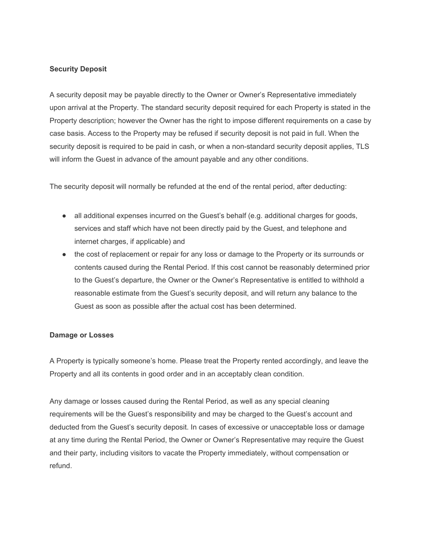## **Security Deposit**

A security deposit may be payable directly to the Owner or Owner's Representative immediately upon arrival at the Property. The standard security deposit required for each Property is stated in the Property description; however the Owner has the right to impose different requirements on a case by case basis. Access to the Property may be refused if security deposit is not paid in full. When the security deposit is required to be paid in cash, or when a non-standard security deposit applies, TLS will inform the Guest in advance of the amount payable and any other conditions.

The security deposit will normally be refunded at the end of the rental period, after deducting:

- all additional expenses incurred on the Guest's behalf (e.g. additional charges for goods, services and staff which have not been directly paid by the Guest, and telephone and internet charges, if applicable) and
- the cost of replacement or repair for any loss or damage to the Property or its surrounds or contents caused during the Rental Period. If this cost cannot be reasonably determined prior to the Guest's departure, the Owner or the Owner's Representative is entitled to withhold a reasonable estimate from the Guest's security deposit, and will return any balance to the Guest as soon as possible after the actual cost has been determined.

## **Damage or Losses**

A Property is typically someone's home. Please treat the Property rented accordingly, and leave the Property and all its contents in good order and in an acceptably clean condition.

Any damage or losses caused during the Rental Period, as well as any special cleaning requirements will be the Guest's responsibility and may be charged to the Guest's account and deducted from the Guest's security deposit. In cases of excessive or unacceptable loss or damage at any time during the Rental Period, the Owner or Owner's Representative may require the Guest and their party, including visitors to vacate the Property immediately, without compensation or refund.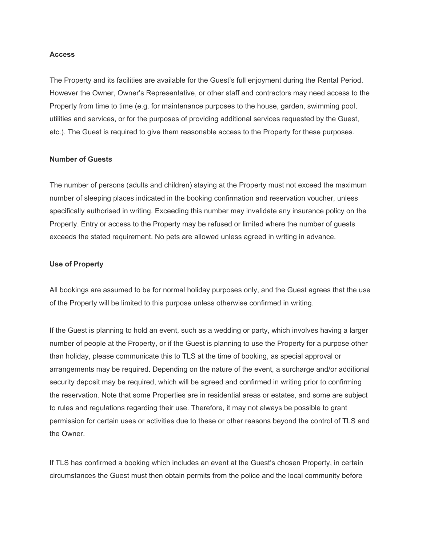#### **Access**

The Property and its facilities are available for the Guest's full enjoyment during the Rental Period. However the Owner, Owner's Representative, or other staff and contractors may need access to the Property from time to time (e.g. for maintenance purposes to the house, garden, swimming pool, utilities and services, or for the purposes of providing additional services requested by the Guest, etc.). The Guest is required to give them reasonable access to the Property for these purposes.

## **Number of Guests**

The number of persons (adults and children) staying at the Property must not exceed the maximum number of sleeping places indicated in the booking confirmation and reservation voucher, unless specifically authorised in writing. Exceeding this number may invalidate any insurance policy on the Property. Entry or access to the Property may be refused or limited where the number of guests exceeds the stated requirement. No pets are allowed unless agreed in writing in advance.

#### **Use of Property**

All bookings are assumed to be for normal holiday purposes only, and the Guest agrees that the use of the Property will be limited to this purpose unless otherwise confirmed in writing.

If the Guest is planning to hold an event, such as a wedding or party, which involves having a larger number of people at the Property, or if the Guest is planning to use the Property for a purpose other than holiday, please communicate this to TLS at the time of booking, as special approval or arrangements may be required. Depending on the nature of the event, a surcharge and/or additional security deposit may be required, which will be agreed and confirmed in writing prior to confirming the reservation. Note that some Properties are in residential areas or estates, and some are subject to rules and regulations regarding their use. Therefore, it may not always be possible to grant permission for certain uses or activities due to these or other reasons beyond the control of TLS and the Owner.

If TLS has confirmed a booking which includes an event at the Guest's chosen Property, in certain circumstances the Guest must then obtain permits from the police and the local community before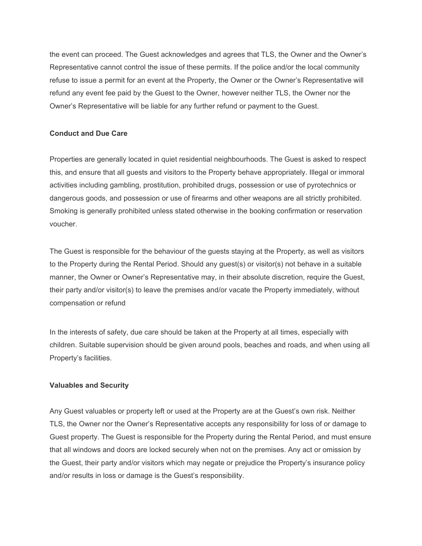the event can proceed. The Guest acknowledges and agrees that TLS, the Owner and the Owner's Representative cannot control the issue of these permits. If the police and/or the local community refuse to issue a permit for an event at the Property, the Owner or the Owner's Representative will refund any event fee paid by the Guest to the Owner, however neither TLS, the Owner nor the Owner's Representative will be liable for any further refund or payment to the Guest.

## **Conduct and Due Care**

Properties are generally located in quiet residential neighbourhoods. The Guest is asked to respect this, and ensure that all guests and visitors to the Property behave appropriately. Illegal or immoral activities including gambling, prostitution, prohibited drugs, possession or use of pyrotechnics or dangerous goods, and possession or use of firearms and other weapons are all strictly prohibited. Smoking is generally prohibited unless stated otherwise in the booking confirmation or reservation voucher.

The Guest is responsible for the behaviour of the guests staying at the Property, as well as visitors to the Property during the Rental Period. Should any guest(s) or visitor(s) not behave in a suitable manner, the Owner or Owner's Representative may, in their absolute discretion, require the Guest, their party and/or visitor(s) to leave the premises and/or vacate the Property immediately, without compensation or refund

In the interests of safety, due care should be taken at the Property at all times, especially with children. Suitable supervision should be given around pools, beaches and roads, and when using all Property's facilities.

## **Valuables and Security**

Any Guest valuables or property left or used at the Property are at the Guest's own risk. Neither TLS, the Owner nor the Owner's Representative accepts any responsibility for loss of or damage to Guest property. The Guest is responsible for the Property during the Rental Period, and must ensure that all windows and doors are locked securely when not on the premises. Any act or omission by the Guest, their party and/or visitors which may negate or prejudice the Property's insurance policy and/or results in loss or damage is the Guest's responsibility.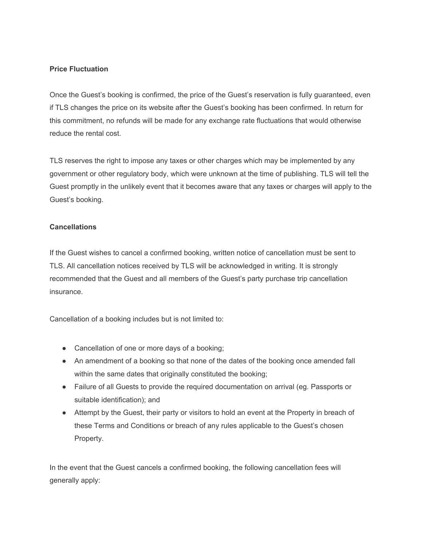## **Price Fluctuation**

Once the Guest's booking is confirmed, the price of the Guest's reservation is fully guaranteed, even if TLS changes the price on its website after the Guest's booking has been confirmed. In return for this commitment, no refunds will be made for any exchange rate fluctuations that would otherwise reduce the rental cost.

TLS reserves the right to impose any taxes or other charges which may be implemented by any government or other regulatory body, which were unknown at the time of publishing. TLS will tell the Guest promptly in the unlikely event that it becomes aware that any taxes or charges will apply to the Guest's booking.

## **Cancellations**

If the Guest wishes to cancel a confirmed booking, written notice of cancellation must be sent to TLS. All cancellation notices received by TLS will be acknowledged in writing. It is strongly recommended that the Guest and all members of the Guest's party purchase trip cancellation insurance.

Cancellation of a booking includes but is not limited to:

- Cancellation of one or more days of a booking;
- An amendment of a booking so that none of the dates of the booking once amended fall within the same dates that originally constituted the booking;
- Failure of all Guests to provide the required documentation on arrival (eg. Passports or suitable identification); and
- Attempt by the Guest, their party or visitors to hold an event at the Property in breach of these Terms and Conditions or breach of any rules applicable to the Guest's chosen Property.

In the event that the Guest cancels a confirmed booking, the following cancellation fees will generally apply: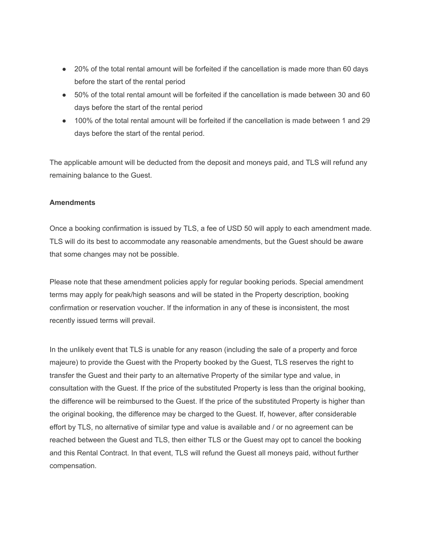- 20% of the total rental amount will be forfeited if the cancellation is made more than 60 days before the start of the rental period
- 50% of the total rental amount will be forfeited if the cancellation is made between 30 and 60 days before the start of the rental period
- 100% of the total rental amount will be forfeited if the cancellation is made between 1 and 29 days before the start of the rental period.

The applicable amount will be deducted from the deposit and moneys paid, and TLS will refund any remaining balance to the Guest.

## **Amendments**

Once a booking confirmation is issued by TLS, a fee of USD 50 will apply to each amendment made. TLS will do its best to accommodate any reasonable amendments, but the Guest should be aware that some changes may not be possible.

Please note that these amendment policies apply for regular booking periods. Special amendment terms may apply for peak/high seasons and will be stated in the Property description, booking confirmation or reservation voucher. If the information in any of these is inconsistent, the most recently issued terms will prevail.

In the unlikely event that TLS is unable for any reason (including the sale of a property and force majeure) to provide the Guest with the Property booked by the Guest, TLS reserves the right to transfer the Guest and their party to an alternative Property of the similar type and value, in consultation with the Guest. If the price of the substituted Property is less than the original booking, the difference will be reimbursed to the Guest. If the price of the substituted Property is higher than the original booking, the difference may be charged to the Guest. If, however, after considerable effort by TLS, no alternative of similar type and value is available and / or no agreement can be reached between the Guest and TLS, then either TLS or the Guest may opt to cancel the booking and this Rental Contract. In that event, TLS will refund the Guest all moneys paid, without further compensation.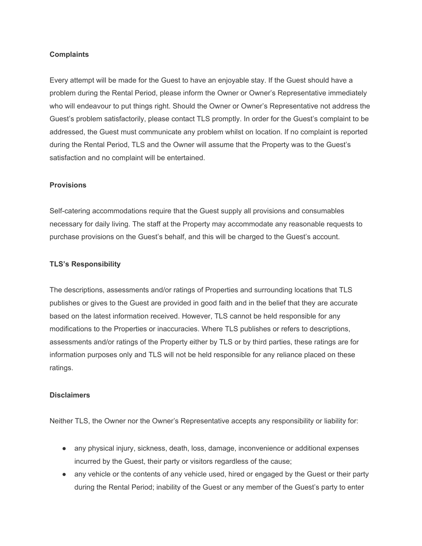#### **Complaints**

Every attempt will be made for the Guest to have an enjoyable stay. If the Guest should have a problem during the Rental Period, please inform the Owner or Owner's Representative immediately who will endeavour to put things right. Should the Owner or Owner's Representative not address the Guest's problem satisfactorily, please contact TLS promptly. In order for the Guest's complaint to be addressed, the Guest must communicate any problem whilst on location. If no complaint is reported during the Rental Period, TLS and the Owner will assume that the Property was to the Guest's satisfaction and no complaint will be entertained.

#### **Provisions**

Self-catering accommodations require that the Guest supply all provisions and consumables necessary for daily living. The staff at the Property may accommodate any reasonable requests to purchase provisions on the Guest's behalf, and this will be charged to the Guest's account.

## **TLS's Responsibility**

The descriptions, assessments and/or ratings of Properties and surrounding locations that TLS publishes or gives to the Guest are provided in good faith and in the belief that they are accurate based on the latest information received. However, TLS cannot be held responsible for any modifications to the Properties or inaccuracies. Where TLS publishes or refers to descriptions, assessments and/or ratings of the Property either by TLS or by third parties, these ratings are for information purposes only and TLS will not be held responsible for any reliance placed on these ratings.

#### **Disclaimers**

Neither TLS, the Owner nor the Owner's Representative accepts any responsibility or liability for:

- any physical injury, sickness, death, loss, damage, inconvenience or additional expenses incurred by the Guest, their party or visitors regardless of the cause;
- any vehicle or the contents of any vehicle used, hired or engaged by the Guest or their party during the Rental Period; inability of the Guest or any member of the Guest's party to enter